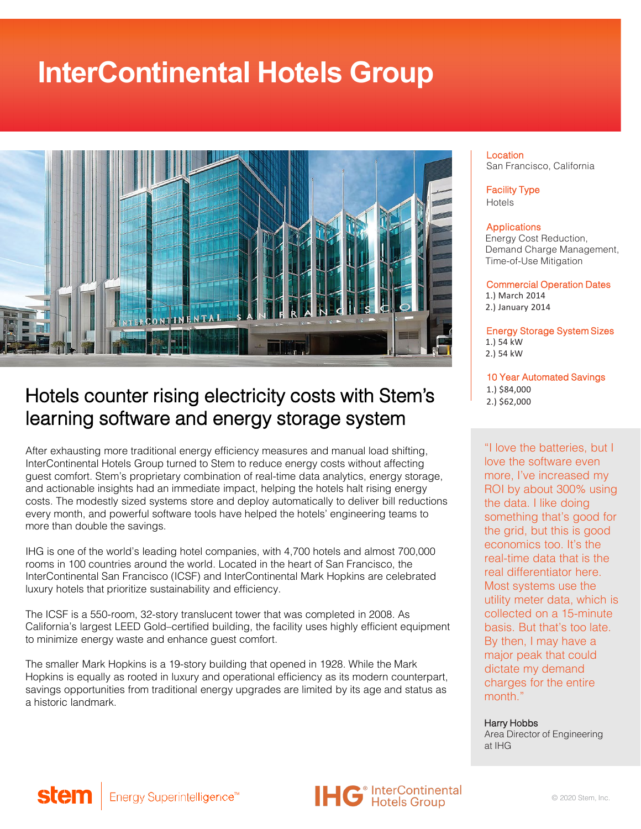# **InterContinental Hotels Group**



### Hotels counter rising electricity costs with Stem's learning software and energy storage system

After exhausting more traditional energy efficiency measures and manual load shifting, InterContinental Hotels Group turned to Stem to reduce energy costs without affecting guest comfort. Stem's proprietary combination of real-time data analytics, energy storage, and actionable insights had an immediate impact, helping the hotels halt rising energy costs. The modestly sized systems store and deploy automatically to deliver bill reductions every month, and powerful software tools have helped the hotels' engineering teams to more than double the savings.

IHG is one of the world's leading hotel companies, with 4,700 hotels and almost 700,000 rooms in 100 countries around the world. Located in the heart of San Francisco, the InterContinental San Francisco (ICSF) and InterContinental Mark Hopkins are celebrated luxury hotels that prioritize sustainability and efficiency.

The ICSF is a 550-room, 32-story translucent tower that was completed in 2008. As California's largest LEED Gold–certified building, the facility uses highly efficient equipment to minimize energy waste and enhance guest comfort.

The smaller Mark Hopkins is a 19-story building that opened in 1928. While the Mark Hopkins is equally as rooted in luxury and operational efficiency as its modern counterpart, savings opportunities from traditional energy upgrades are limited by its age and status as a historic landmark.

#### Location San Francisco, California

Facility Type Hotels

#### Applications

Energy Cost Reduction, Demand Charge Management, Time-of-Use Mitigation

Commercial Operation Dates 1.) March 2014 2.) January 2014

Energy Storage System Sizes 1.) 54 kW 2.) 54 kW

10 Year Automated Savings 1.) \$84,000 2.) \$62,000

"I love the batteries, but I love the software even more, I've increased my ROI by about 300% using the data. I like doing something that's good for the grid, but this is good economics too. It's the real-time data that is the real differentiator here. Most systems use the utility meter data, which is collected on a 15-minute basis. But that's too late. By then, I may have a major peak that could dictate my demand charges for the entire month."

Harry Hobbs Area Director of Engineering at IHG